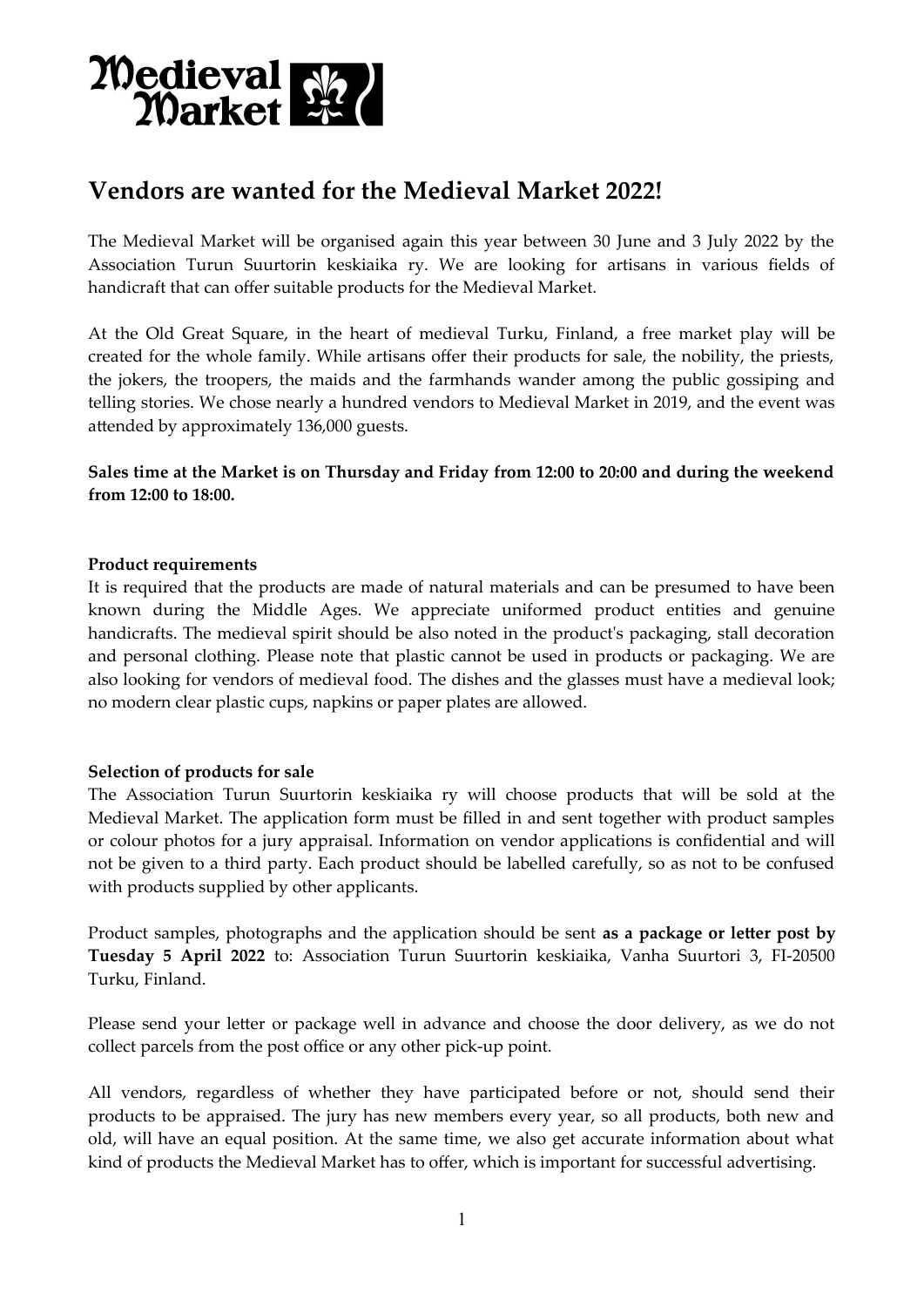

# **Vendors are wanted for the Medieval Market 2022!**

The Medieval Market will be organised again this year between 30 June and 3 July 2022 by the Association Turun Suurtorin keskiaika ry. We are looking for artisans in various fields of handicraft that can offer suitable products for the Medieval Market.

At the Old Great Square, in the heart of medieval Turku, Finland, a free market play will be created for the whole family. While artisans offer their products for sale, the nobility, the priests, the jokers, the troopers, the maids and the farmhands wander among the public gossiping and telling stories. We chose nearly a hundred vendors to Medieval Market in 2019, and the event was attended by approximately 136,000 guests.

**Sales time at the Market is on Thursday and Friday from 12:00 to 20:00 and during the weekend from 12:00 to 18:00.**

### **Product requirements**

It is required that the products are made of natural materials and can be presumed to have been known during the Middle Ages. We appreciate uniformed product entities and genuine handicrafts. The medieval spirit should be also noted in the product's packaging, stall decoration and personal clothing. Please note that plastic cannot be used in products or packaging. We are also looking for vendors of medieval food. The dishes and the glasses must have a medieval look; no modern clear plastic cups, napkins or paper plates are allowed.

### **Selection of products for sale**

The Association Turun Suurtorin keskiaika ry will choose products that will be sold at the Medieval Market. The application form must be filled in and sent together with product samples or colour photos for a jury appraisal. Information on vendor applications is confidential and will not be given to a third party. Each product should be labelled carefully, so as not to be confused with products supplied by other applicants.

Product samples, photographs and the application should be sent **as a package or letter post by Tuesday 5 April 2022** to: Association Turun Suurtorin keskiaika, Vanha Suurtori 3, FI-20500 Turku, Finland.

Please send your letter or package well in advance and choose the door delivery, as we do not collect parcels from the post office or any other pick-up point.

All vendors, regardless of whether they have participated before or not, should send their products to be appraised. The jury has new members every year, so all products, both new and old, will have an equal position. At the same time, we also get accurate information about what kind of products the Medieval Market has to offer, which is important for successful advertising.